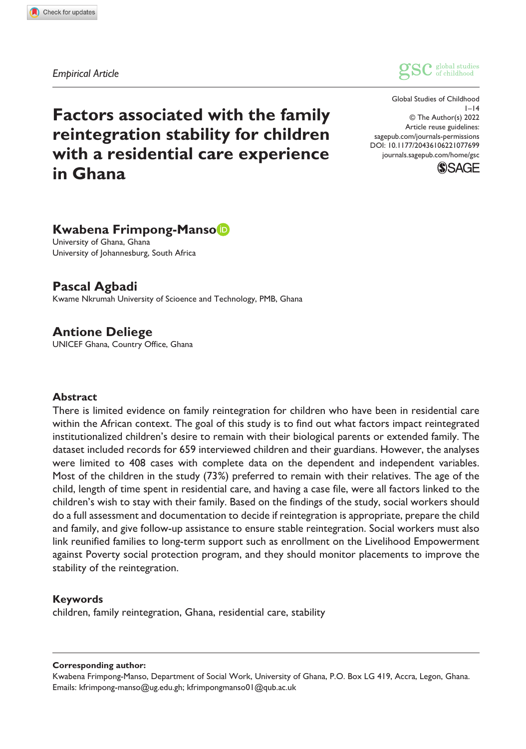*Empirical Article*



DOI: 10.1177/20436106221077699 Global Studies of Childhood  $1 - 14$ © The Author(s) 2022 Article reuse guidelines: [sagepub.com/journals-permissions](https://uk.sagepub.com/en-gb/journals-permissions) [journals.sagepub.com/home/gsc](https://journals.sagepub.com/home/gsc)



# **Factors associated with the family reintegration stability for children with a residential care experience in Ghana**

# **Kwabena Frimpong-Manso**

University of Ghana, Ghana University of Johannesburg, South Africa

**Pascal Agbadi** Kwame Nkrumah University of Scioence and Technology, PMB, Ghana

**Antione Deliege** UNICEF Ghana, Country Office, Ghana

#### **Abstract**

There is limited evidence on family reintegration for children who have been in residential care within the African context. The goal of this study is to find out what factors impact reintegrated institutionalized children's desire to remain with their biological parents or extended family. The dataset included records for 659 interviewed children and their guardians. However, the analyses were limited to 408 cases with complete data on the dependent and independent variables. Most of the children in the study (73%) preferred to remain with their relatives. The age of the child, length of time spent in residential care, and having a case file, were all factors linked to the children's wish to stay with their family. Based on the findings of the study, social workers should do a full assessment and documentation to decide if reintegration is appropriate, prepare the child and family, and give follow-up assistance to ensure stable reintegration. Social workers must also link reunified families to long-term support such as enrollment on the Livelihood Empowerment against Poverty social protection program, and they should monitor placements to improve the stability of the reintegration.

#### **Keywords**

children, family reintegration, Ghana, residential care, stability

#### **Corresponding author:**

Kwabena Frimpong-Manso, Department of Social Work, University of Ghana, P.O. Box LG 419, Accra, Legon, Ghana. Emails: [kfrimpong-manso@ug.edu.gh](mailto:kfrimpong-manso@ug.edu.gh); [kfrimpongmanso01@qub.ac.uk](mailto:kfrimpongmanso01@qub.ac.uk)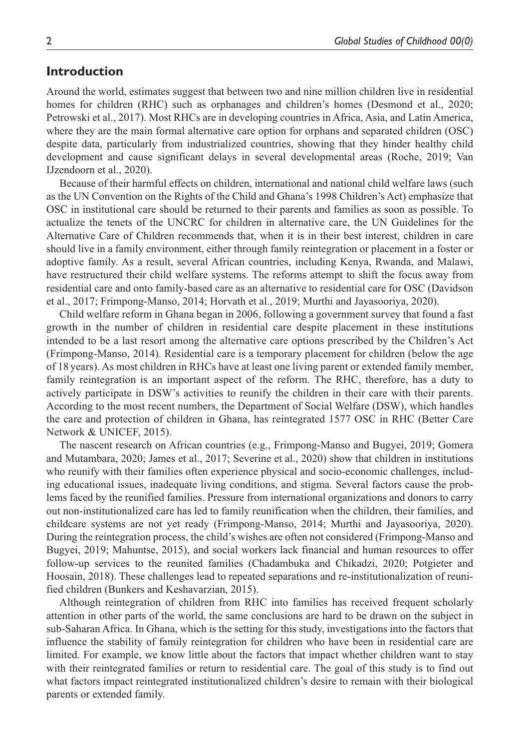### **Introduction**

Around the world, estimates suggest that between two and nine million children live in residential homes for children (RHC) such as orphanages and children's homes (Desmond et al., 2020; Petrowski et al., 2017). Most RHCs are in developing countries in Africa, Asia, and Latin America, where they are the main formal alternative care option for orphans and separated children (OSC) despite data, particularly from industrialized countries, showing that they hinder healthy child development and cause significant delays in several developmental areas (Roche, 2019; Van IJzendoorn et al., 2020).

Because of their harmful effects on children, international and national child welfare laws (such as the UN Convention on the Rights of the Child and Ghana's 1998 Children's Act) emphasize that OSC in institutional care should be returned to their parents and families as soon as possible. To actualize the tenets of the UNCRC for children in alternative care, the UN Guidelines for the Alternative Care of Children recommends that, when it is in their best interest, children in care should live in a family environment, either through family reintegration or placement in a foster or adoptive family. As a result, several African countries, including Kenya, Rwanda, and Malawi, have restructured their child welfare systems. The reforms attempt to shift the focus away from residential care and onto family-based care as an alternative to residential care for OSC (Davidson et al., 2017; Frimpong-Manso, 2014; Horvath et al., 2019; Murthi and Jayasooriya, 2020).

Child welfare reform in Ghana began in 2006, following a government survey that found a fast growth in the number of children in residential care despite placement in these institutions intended to be a last resort among the alternative care options prescribed by the Children's Act (Frimpong-Manso, 2014). Residential care is a temporary placement for children (below the age of 18 years). As most children in RHCs have at least one living parent or extended family member, family reintegration is an important aspect of the reform. The RHC, therefore, has a duty to actively participate in DSW's activities to reunify the children in their care with their parents. According to the most recent numbers, the Department of Social Welfare (DSW), which handles the care and protection of children in Ghana, has reintegrated 1577 OSC in RHC (Better Care Network & UNICEF, 2015).

The nascent research on African countries (e.g., Frimpong-Manso and Bugyei, 2019; Gomera and Mutambara, 2020; James et al., 2017; Severine et al., 2020) show that children in institutions who reunify with their families often experience physical and socio-economic challenges, including educational issues, inadequate living conditions, and stigma. Several factors cause the problems faced by the reunified families. Pressure from international organizations and donors to carry out non-institutionalized care has led to family reunification when the children, their families, and childcare systems are not yet ready (Frimpong-Manso, 2014; Murthi and Jayasooriya, 2020). During the reintegration process, the child's wishes are often not considered (Frimpong-Manso and Bugyei, 2019; Mahuntse, 2015), and social workers lack financial and human resources to offer follow-up services to the reunited families (Chadambuka and Chikadzi, 2020; Potgieter and Hoosain, 2018). These challenges lead to repeated separations and re-institutionalization of reunified children (Bunkers and Keshavarzian, 2015).

Although reintegration of children from RHC into families has received frequent scholarly attention in other parts of the world, the same conclusions are hard to be drawn on the subject in sub-Saharan Africa. In Ghana, which is the setting for this study, investigations into the factors that influence the stability of family reintegration for children who have been in residential care are limited. For example, we know little about the factors that impact whether children want to stay with their reintegrated families or return to residential care. The goal of this study is to find out what factors impact reintegrated institutionalized children's desire to remain with their biological parents or extended family.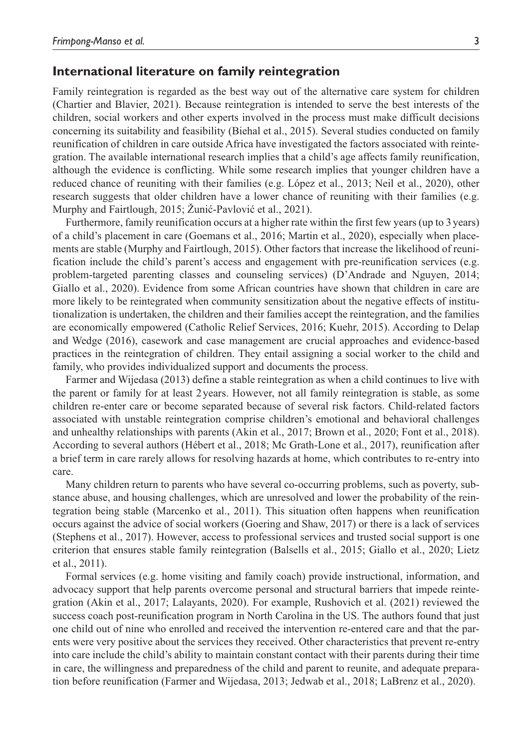#### **International literature on family reintegration**

Family reintegration is regarded as the best way out of the alternative care system for children (Chartier and Blavier, 2021). Because reintegration is intended to serve the best interests of the children, social workers and other experts involved in the process must make difficult decisions concerning its suitability and feasibility (Biehal et al., 2015). Several studies conducted on family reunification of children in care outside Africa have investigated the factors associated with reintegration. The available international research implies that a child's age affects family reunification, although the evidence is conflicting. While some research implies that younger children have a reduced chance of reuniting with their families (e.g. López et al., 2013; Neil et al., 2020), other research suggests that older children have a lower chance of reuniting with their families (e.g. Murphy and Fairtlough, 2015; Žunić-Pavlović et al., 2021).

Furthermore, family reunification occurs at a higher rate within the first few years (up to 3 years) of a child's placement in care (Goemans et al., 2016; Martin et al., 2020), especially when placements are stable (Murphy and Fairtlough, 2015). Other factors that increase the likelihood of reunification include the child's parent's access and engagement with pre-reunification services (e.g. problem-targeted parenting classes and counseling services) (D'Andrade and Nguyen, 2014; Giallo et al., 2020). Evidence from some African countries have shown that children in care are more likely to be reintegrated when community sensitization about the negative effects of institutionalization is undertaken, the children and their families accept the reintegration, and the families are economically empowered (Catholic Relief Services, 2016; Kuehr, 2015). According to Delap and Wedge (2016), casework and case management are crucial approaches and evidence-based practices in the reintegration of children. They entail assigning a social worker to the child and family, who provides individualized support and documents the process.

Farmer and Wijedasa (2013) define a stable reintegration as when a child continues to live with the parent or family for at least 2years. However, not all family reintegration is stable, as some children re-enter care or become separated because of several risk factors. Child-related factors associated with unstable reintegration comprise children's emotional and behavioral challenges and unhealthy relationships with parents (Akin et al., 2017; Brown et al., 2020; Font et al., 2018). According to several authors (Hébert et al., 2018; Mc Grath-Lone et al., 2017), reunification after a brief term in care rarely allows for resolving hazards at home, which contributes to re-entry into care.

Many children return to parents who have several co-occurring problems, such as poverty, substance abuse, and housing challenges, which are unresolved and lower the probability of the reintegration being stable (Marcenko et al., 2011). This situation often happens when reunification occurs against the advice of social workers (Goering and Shaw, 2017) or there is a lack of services (Stephens et al., 2017). However, access to professional services and trusted social support is one criterion that ensures stable family reintegration (Balsells et al., 2015; Giallo et al., 2020; Lietz et al., 2011).

Formal services (e.g. home visiting and family coach) provide instructional, information, and advocacy support that help parents overcome personal and structural barriers that impede reintegration (Akin et al., 2017; Lalayants, 2020). For example, Rushovich et al. (2021) reviewed the success coach post-reunification program in North Carolina in the US. The authors found that just one child out of nine who enrolled and received the intervention re-entered care and that the parents were very positive about the services they received. Other characteristics that prevent re-entry into care include the child's ability to maintain constant contact with their parents during their time in care, the willingness and preparedness of the child and parent to reunite, and adequate preparation before reunification (Farmer and Wijedasa, 2013; Jedwab et al., 2018; LaBrenz et al., 2020).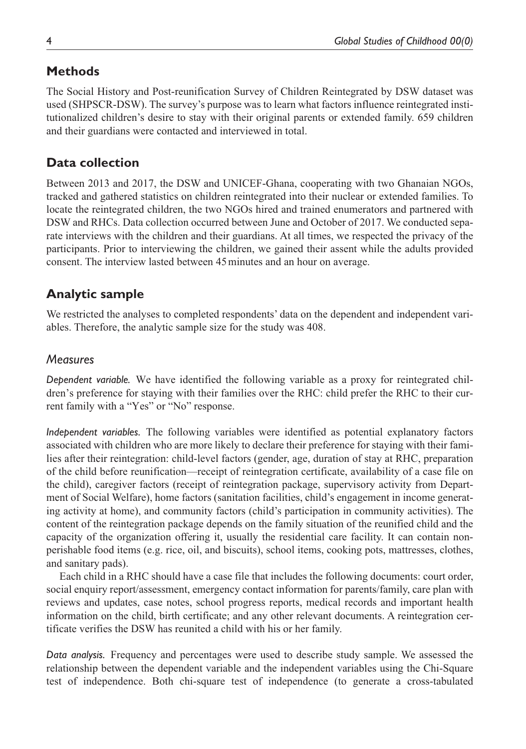# **Methods**

The Social History and Post-reunification Survey of Children Reintegrated by DSW dataset was used (SHPSCR-DSW). The survey's purpose was to learn what factors influence reintegrated institutionalized children's desire to stay with their original parents or extended family. 659 children and their guardians were contacted and interviewed in total.

# **Data collection**

Between 2013 and 2017, the DSW and UNICEF-Ghana, cooperating with two Ghanaian NGOs, tracked and gathered statistics on children reintegrated into their nuclear or extended families. To locate the reintegrated children, the two NGOs hired and trained enumerators and partnered with DSW and RHCs. Data collection occurred between June and October of 2017. We conducted separate interviews with the children and their guardians. At all times, we respected the privacy of the participants. Prior to interviewing the children, we gained their assent while the adults provided consent. The interview lasted between 45minutes and an hour on average.

# **Analytic sample**

We restricted the analyses to completed respondents' data on the dependent and independent variables. Therefore, the analytic sample size for the study was 408.

# *Measures*

*Dependent variable.* We have identified the following variable as a proxy for reintegrated children's preference for staying with their families over the RHC: child prefer the RHC to their current family with a "Yes" or "No" response.

*Independent variables.* The following variables were identified as potential explanatory factors associated with children who are more likely to declare their preference for staying with their families after their reintegration: child-level factors (gender, age, duration of stay at RHC, preparation of the child before reunification—receipt of reintegration certificate, availability of a case file on the child), caregiver factors (receipt of reintegration package, supervisory activity from Department of Social Welfare), home factors (sanitation facilities, child's engagement in income generating activity at home), and community factors (child's participation in community activities). The content of the reintegration package depends on the family situation of the reunified child and the capacity of the organization offering it, usually the residential care facility. It can contain nonperishable food items (e.g. rice, oil, and biscuits), school items, cooking pots, mattresses, clothes, and sanitary pads).

Each child in a RHC should have a case file that includes the following documents: court order, social enquiry report/assessment, emergency contact information for parents/family, care plan with reviews and updates, case notes, school progress reports, medical records and important health information on the child, birth certificate; and any other relevant documents. A reintegration certificate verifies the DSW has reunited a child with his or her family.

*Data analysis.* Frequency and percentages were used to describe study sample. We assessed the relationship between the dependent variable and the independent variables using the Chi-Square test of independence. Both chi-square test of independence (to generate a cross-tabulated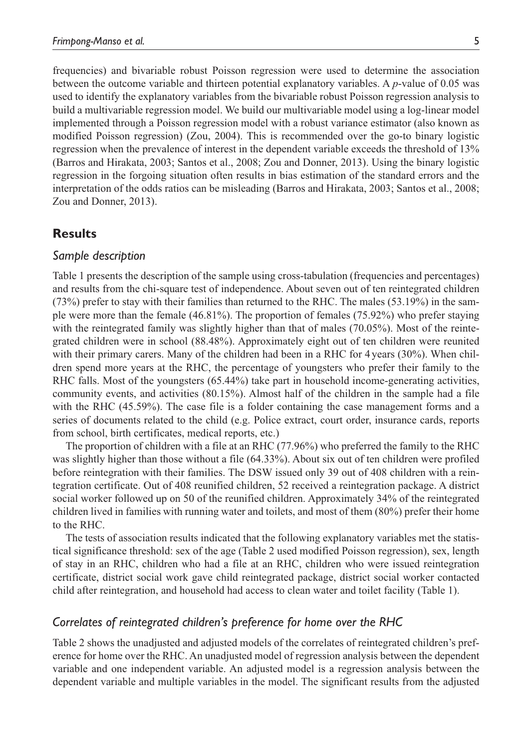frequencies) and bivariable robust Poisson regression were used to determine the association between the outcome variable and thirteen potential explanatory variables. A *p*-value of 0.05 was used to identify the explanatory variables from the bivariable robust Poisson regression analysis to build a multivariable regression model. We build our multivariable model using a log-linear model implemented through a Poisson regression model with a robust variance estimator (also known as modified Poisson regression) (Zou, 2004). This is recommended over the go-to binary logistic regression when the prevalence of interest in the dependent variable exceeds the threshold of 13% (Barros and Hirakata, 2003; Santos et al., 2008; Zou and Donner, 2013). Using the binary logistic regression in the forgoing situation often results in bias estimation of the standard errors and the interpretation of the odds ratios can be misleading (Barros and Hirakata, 2003; Santos et al., 2008; Zou and Donner, 2013).

### **Results**

#### *Sample description*

Table 1 presents the description of the sample using cross-tabulation (frequencies and percentages) and results from the chi-square test of independence. About seven out of ten reintegrated children (73%) prefer to stay with their families than returned to the RHC. The males (53.19%) in the sample were more than the female (46.81%). The proportion of females (75.92%) who prefer staying with the reintegrated family was slightly higher than that of males (70.05%). Most of the reintegrated children were in school (88.48%). Approximately eight out of ten children were reunited with their primary carers. Many of the children had been in a RHC for 4 years (30%). When children spend more years at the RHC, the percentage of youngsters who prefer their family to the RHC falls. Most of the youngsters (65.44%) take part in household income-generating activities, community events, and activities (80.15%). Almost half of the children in the sample had a file with the RHC (45.59%). The case file is a folder containing the case management forms and a series of documents related to the child (e.g. Police extract, court order, insurance cards, reports from school, birth certificates, medical reports, etc.)

The proportion of children with a file at an RHC (77.96%) who preferred the family to the RHC was slightly higher than those without a file (64.33%). About six out of ten children were profiled before reintegration with their families. The DSW issued only 39 out of 408 children with a reintegration certificate. Out of 408 reunified children, 52 received a reintegration package. A district social worker followed up on 50 of the reunified children. Approximately 34% of the reintegrated children lived in families with running water and toilets, and most of them (80%) prefer their home to the RHC.

The tests of association results indicated that the following explanatory variables met the statistical significance threshold: sex of the age (Table 2 used modified Poisson regression), sex, length of stay in an RHC, children who had a file at an RHC, children who were issued reintegration certificate, district social work gave child reintegrated package, district social worker contacted child after reintegration, and household had access to clean water and toilet facility (Table 1).

### *Correlates of reintegrated children's preference for home over the RHC*

Table 2 shows the unadjusted and adjusted models of the correlates of reintegrated children's preference for home over the RHC. An unadjusted model of regression analysis between the dependent variable and one independent variable. An adjusted model is a regression analysis between the dependent variable and multiple variables in the model. The significant results from the adjusted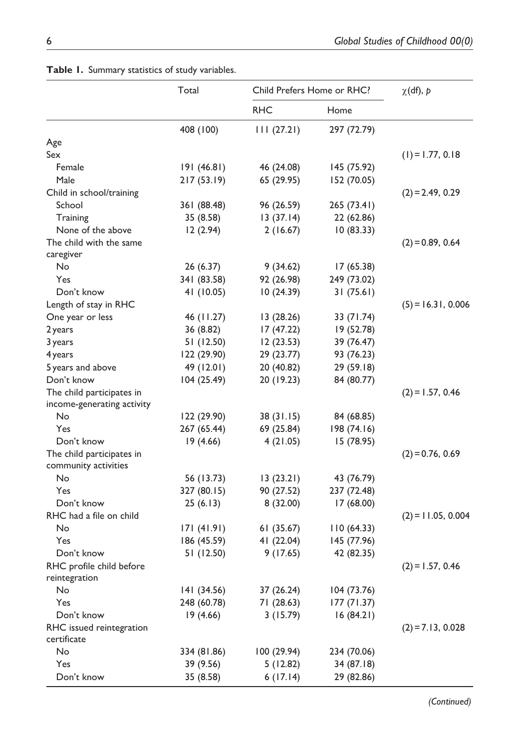|                            | Total       | Child Prefers Home or RHC? |             | $\chi$ (df), p       |
|----------------------------|-------------|----------------------------|-------------|----------------------|
|                            |             | <b>RHC</b>                 | Home        |                      |
|                            | 408 (100)   | 111(27.21)                 | 297 (72.79) |                      |
| Age                        |             |                            |             |                      |
| Sex                        |             |                            |             | $(1) = 1.77, 0.18$   |
| Female                     | 191(46.81)  | 46 (24.08)                 | 145 (75.92) |                      |
| Male                       | 217(53.19)  | 65 (29.95)                 | 152 (70.05) |                      |
| Child in school/training   |             |                            |             | $(2) = 2.49, 0.29$   |
| School                     | 361 (88.48) | 96 (26.59)                 | 265 (73.41) |                      |
| Training                   | 35 (8.58)   | 13(37.14)                  | 22 (62.86)  |                      |
| None of the above          | 12(2.94)    | 2(16.67)                   | 10(83.33)   |                      |
| The child with the same    |             |                            |             | $(2) = 0.89, 0.64$   |
| caregiver                  |             |                            |             |                      |
| No                         | 26 (6.37)   | 9(34.62)                   | 17 (65.38)  |                      |
| Yes                        | 341 (83.58) | 92 (26.98)                 | 249 (73.02) |                      |
| Don't know                 | 41 (10.05)  | 10 (24.39)                 | 31(75.61)   |                      |
| Length of stay in RHC      |             |                            |             | $(5) = 16.31, 0.006$ |
| One year or less           | 46 (11.27)  | 13 (28.26)                 | 33 (71.74)  |                      |
| 2 years                    | 36 (8.82)   | 17 (47.22)                 | 19 (52.78)  |                      |
| 3 years                    | 51 (12.50)  | 12(23.53)                  | 39 (76.47)  |                      |
| 4 years                    | 122 (29.90) | 29 (23.77)                 | 93 (76.23)  |                      |
| 5 years and above          | 49 (12.01)  | 20 (40.82)                 | 29 (59.18)  |                      |
| Don't know                 | 104 (25.49) | 20 (19.23)                 | 84 (80.77)  |                      |
| The child participates in  |             |                            |             | $(2) = 1.57, 0.46$   |
| income-generating activity |             |                            |             |                      |
| No                         | 122 (29.90) | 38(31.15)                  | 84 (68.85)  |                      |
| Yes                        | 267 (65.44) | 69 (25.84)                 | 198 (74.16) |                      |
| Don't know                 | 19(4.66)    | 4(21.05)                   | 15 (78.95)  |                      |
| The child participates in  |             |                            |             | $(2) = 0.76, 0.69$   |
| community activities       |             |                            |             |                      |
| No                         | 56 (13.73)  | 13(23.21)                  | 43 (76.79)  |                      |
| Yes                        | 327 (80.15) | 90 (27.52)                 | 237 (72.48) |                      |
| Don't know                 | 25(6.13)    | 8 (32.00)                  | 17 (68.00)  |                      |
| RHC had a file on child    |             |                            |             | $(2) = 11.05, 0.004$ |
| No                         | 171(41.91)  | 61(35.67)                  | 110 (64.33) |                      |
| Yes                        | 186 (45.59) | 41 (22.04)                 | 145 (77.96) |                      |
| Don't know                 | 51 (12.50)  | 9(17.65)                   | 42 (82.35)  |                      |
| RHC profile child before   |             |                            |             | $(2) = 1.57, 0.46$   |
| reintegration              |             |                            |             |                      |
| No                         | 141 (34.56) | 37 (26.24)                 | 104 (73.76) |                      |
| Yes                        | 248 (60.78) | 71 (28.63)                 | 177 (71.37) |                      |
| Don't know                 | 19(4.66)    | 3(15.79)                   | 16(84.21)   |                      |
| RHC issued reintegration   |             |                            |             | $(2) = 7.13, 0.028$  |
| certificate                |             |                            |             |                      |
| No                         | 334 (81.86) | 100 (29.94)                | 234 (70.06) |                      |
| Yes                        | 39 (9.56)   | 5(12.82)                   | 34 (87.18)  |                      |
| Don't know                 | 35 (8.58)   | 6(17.14)                   | 29 (82.86)  |                      |

**Table 1.** Summary statistics of study variables.

 *(Continued)*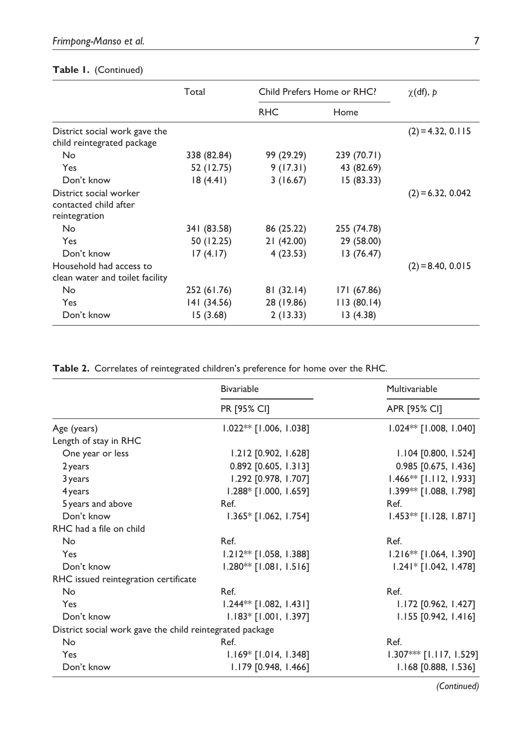|                                                                  | Total       | Child Prefers Home or RHC? |             | $\chi$ (df), p      |
|------------------------------------------------------------------|-------------|----------------------------|-------------|---------------------|
|                                                                  |             | <b>RHC</b>                 | Home        |                     |
| District social work gave the<br>child reintegrated package      |             |                            |             | $(2) = 4.32, 0.115$ |
| No                                                               | 338 (82.84) | 99 (29.29)                 | 239 (70.71) |                     |
| Yes                                                              | 52 (12.75)  | 9(17.31)                   | 43 (82.69)  |                     |
| Don't know                                                       | 18(4.41)    | 3(16.67)                   | 15(83.33)   |                     |
| District social worker<br>contacted child after<br>reintegration |             |                            |             | $(2) = 6.32, 0.042$ |
| No                                                               | 341 (83.58) | 86 (25.22)                 | 255 (74.78) |                     |
| Yes                                                              | 50 (12.25)  | 21(42.00)                  | 29 (58.00)  |                     |
| Don't know                                                       | 17(4.17)    | 4(23.53)                   | 13 (76.47)  |                     |
| Household had access to                                          |             |                            |             | $(2) = 8.40, 0.015$ |
| clean water and toilet facility                                  |             |                            |             |                     |
| No                                                               | 252 (61.76) | 81(32.14)                  | 171 (67.86) |                     |
| Yes                                                              | 141 (34.56) | 28 (19.86)                 | 113(80.14)  |                     |
| Don't know                                                       | 15(3.68)    | 2(13.33)                   | 13(4.38)    |                     |

# **Table 1.** (Continued)

**Table 2.** Correlates of reintegrated children's preference for home over the RHC.

|                                                          | <b>Bivariable</b>        | Multivariable             |  |
|----------------------------------------------------------|--------------------------|---------------------------|--|
|                                                          | PR [95% CI]              | APR [95% CI]              |  |
| Age (years)                                              | $1.022**$ [1.006, 1.038] | 1.024 ** [1.008, 1.040]   |  |
| Length of stay in RHC                                    |                          |                           |  |
| One year or less                                         | 1.212 [0.902, 1.628]     | 1.104 [0.800, 1.524]      |  |
| 2 years                                                  | 0.892 [0.605, 1.313]     | 0.985 [0.675, 1.436]      |  |
| 3 years                                                  | 1.292 [0.978, 1.707]     | $1.466**$ [1.112, 1.933]  |  |
| 4 years                                                  | 1.288* [1.000, 1.659]    | $1.399**$ [1.088, 1.798]  |  |
| 5 years and above                                        | Ref.                     | Ref.                      |  |
| Don't know                                               | $1.365*$ [1.062, 1.754]  | $1.453**$ [1.128, 1.871]  |  |
| RHC had a file on child                                  |                          |                           |  |
| No                                                       | Ref.                     | Ref.                      |  |
| Yes                                                      | 1.212** [1.058, 1.388]   | $1.216**$ [1.064, 1.390]  |  |
| Don't know                                               | $1.280**$ [1.081, 1.516] | $1.241*$ [1.042, 1.478]   |  |
| RHC issued reintegration certificate                     |                          |                           |  |
| No                                                       | Ref.                     | Ref.                      |  |
| Yes                                                      | $1.244**$ [1.082, 1.431] | 1.172 [0.962, 1.427]      |  |
| Don't know                                               | $1.183*$ [1.001, 1.397]  | $1.155$ [0.942, 1.416]    |  |
| District social work gave the child reintegrated package |                          |                           |  |
| No                                                       | Ref.                     | Ref.                      |  |
| Yes                                                      | $1.169*$ [1.014, 1.348]  | $1.307***$ [1.117, 1.529] |  |
| Don't know                                               | 1.179 [0.948, 1.466]     | 1.168 [0.888, 1.536]      |  |

 *(Continued)*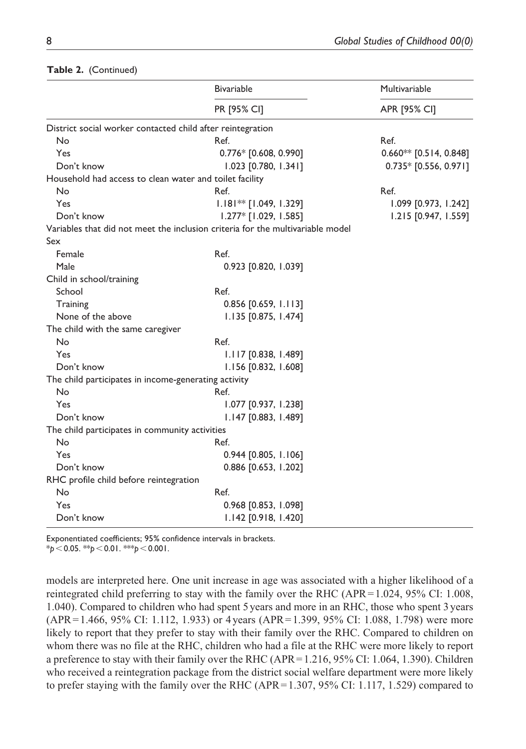#### **Table 2.** (Continued)

|                                                            | <b>Bivariable</b>                                                              | Multivariable<br>APR [95% CI] |  |  |
|------------------------------------------------------------|--------------------------------------------------------------------------------|-------------------------------|--|--|
|                                                            | <b>PR [95% CI]</b>                                                             |                               |  |  |
| District social worker contacted child after reintegration |                                                                                |                               |  |  |
| No                                                         | Ref.                                                                           | Ref.                          |  |  |
| Yes                                                        | 0.776* [0.608, 0.990]                                                          | $0.660**$ [0.514, 0.848]      |  |  |
| Don't know                                                 | 1.023 [0.780, 1.341]                                                           | $0.735*$ [0.556, 0.971]       |  |  |
| Household had access to clean water and toilet facility    |                                                                                |                               |  |  |
| No                                                         | Ref.                                                                           | Ref.                          |  |  |
| Yes                                                        | $1.181**$ [1.049, 1.329]                                                       | $1.099$ [0.973, 1.242]        |  |  |
| Don't know                                                 | $1.277*$ [1.029, 1.585]                                                        | 1.215 [0.947, 1.559]          |  |  |
|                                                            | Variables that did not meet the inclusion criteria for the multivariable model |                               |  |  |
| Sex                                                        |                                                                                |                               |  |  |
| Female                                                     | Ref.                                                                           |                               |  |  |
| Male                                                       | 0.923 [0.820, 1.039]                                                           |                               |  |  |
| Child in school/training                                   |                                                                                |                               |  |  |
| School                                                     | Ref.                                                                           |                               |  |  |
| Training                                                   | $0.856$ [0.659, 1.113]                                                         |                               |  |  |
| None of the above                                          | 1.135 [0.875, 1.474]                                                           |                               |  |  |
| The child with the same caregiver                          |                                                                                |                               |  |  |
| No                                                         | Ref.                                                                           |                               |  |  |
| Yes                                                        | $1.117$ [0.838, 1.489]                                                         |                               |  |  |
| Don't know                                                 | 1.156 [0.832, 1.608]                                                           |                               |  |  |
| The child participates in income-generating activity       |                                                                                |                               |  |  |
| <b>No</b>                                                  | Ref.                                                                           |                               |  |  |
| Yes                                                        | 1.077 [0.937, 1.238]                                                           |                               |  |  |
| Don't know                                                 | 1.147 [0.883, 1.489]                                                           |                               |  |  |
| The child participates in community activities             |                                                                                |                               |  |  |
| <b>No</b>                                                  | Ref.                                                                           |                               |  |  |
| Yes                                                        | 0.944 [0.805, 1.106]                                                           |                               |  |  |
| Don't know                                                 | 0.886 [0.653, 1.202]                                                           |                               |  |  |
| RHC profile child before reintegration                     |                                                                                |                               |  |  |
| <b>No</b>                                                  | Ref.                                                                           |                               |  |  |
| Yes                                                        | 0.968 [0.853, 1.098]                                                           |                               |  |  |
| Don't know                                                 | 1.142 [0.918, 1.420]                                                           |                               |  |  |

Exponentiated coefficients; 95% confidence intervals in brackets. \**p*<0.05. \*\**p*<0.01. \*\*\**p*<0.001.

models are interpreted here. One unit increase in age was associated with a higher likelihood of a reintegrated child preferring to stay with the family over the RHC (APR=1.024, 95% CI: 1.008, 1.040). Compared to children who had spent 5 years and more in an RHC, those who spent 3 years (APR=1.466, 95% CI: 1.112, 1.933) or 4 years (APR=1.399, 95% CI: 1.088, 1.798) were more likely to report that they prefer to stay with their family over the RHC. Compared to children on whom there was no file at the RHC, children who had a file at the RHC were more likely to report a preference to stay with their family over the RHC (APR=1.216, 95% CI: 1.064, 1.390). Children who received a reintegration package from the district social welfare department were more likely to prefer staying with the family over the RHC (APR=1.307, 95% CI: 1.117, 1.529) compared to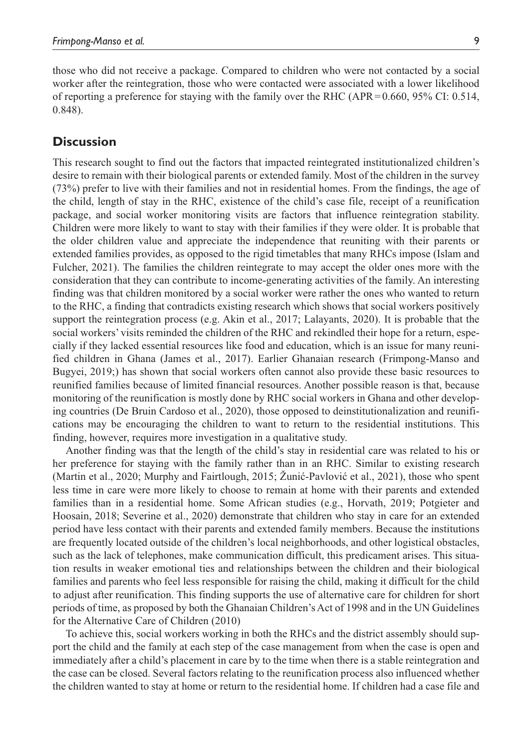those who did not receive a package. Compared to children who were not contacted by a social worker after the reintegration, those who were contacted were associated with a lower likelihood of reporting a preference for staying with the family over the RHC (APR=0.660, 95% CI: 0.514, 0.848).

### **Discussion**

This research sought to find out the factors that impacted reintegrated institutionalized children's desire to remain with their biological parents or extended family. Most of the children in the survey (73%) prefer to live with their families and not in residential homes. From the findings, the age of the child, length of stay in the RHC, existence of the child's case file, receipt of a reunification package, and social worker monitoring visits are factors that influence reintegration stability. Children were more likely to want to stay with their families if they were older. It is probable that the older children value and appreciate the independence that reuniting with their parents or extended families provides, as opposed to the rigid timetables that many RHCs impose (Islam and Fulcher, 2021). The families the children reintegrate to may accept the older ones more with the consideration that they can contribute to income-generating activities of the family. An interesting finding was that children monitored by a social worker were rather the ones who wanted to return to the RHC, a finding that contradicts existing research which shows that social workers positively support the reintegration process (e.g. Akin et al., 2017; Lalayants, 2020). It is probable that the social workers' visits reminded the children of the RHC and rekindled their hope for a return, especially if they lacked essential resources like food and education, which is an issue for many reunified children in Ghana (James et al., 2017). Earlier Ghanaian research (Frimpong-Manso and Bugyei, 2019;) has shown that social workers often cannot also provide these basic resources to reunified families because of limited financial resources. Another possible reason is that, because monitoring of the reunification is mostly done by RHC social workers in Ghana and other developing countries (De Bruin Cardoso et al., 2020), those opposed to deinstitutionalization and reunifications may be encouraging the children to want to return to the residential institutions. This finding, however, requires more investigation in a qualitative study.

Another finding was that the length of the child's stay in residential care was related to his or her preference for staying with the family rather than in an RHC. Similar to existing research (Martin et al., 2020; Murphy and Fairtlough, 2015; Žunić-Pavlović et al., 2021), those who spent less time in care were more likely to choose to remain at home with their parents and extended families than in a residential home. Some African studies (e.g., Horvath, 2019; Potgieter and Hoosain, 2018; Severine et al., 2020) demonstrate that children who stay in care for an extended period have less contact with their parents and extended family members. Because the institutions are frequently located outside of the children's local neighborhoods, and other logistical obstacles, such as the lack of telephones, make communication difficult, this predicament arises. This situation results in weaker emotional ties and relationships between the children and their biological families and parents who feel less responsible for raising the child, making it difficult for the child to adjust after reunification. This finding supports the use of alternative care for children for short periods of time, as proposed by both the Ghanaian Children's Act of 1998 and in the UN Guidelines for the Alternative Care of Children (2010)

To achieve this, social workers working in both the RHCs and the district assembly should support the child and the family at each step of the case management from when the case is open and immediately after a child's placement in care by to the time when there is a stable reintegration and the case can be closed. Several factors relating to the reunification process also influenced whether the children wanted to stay at home or return to the residential home. If children had a case file and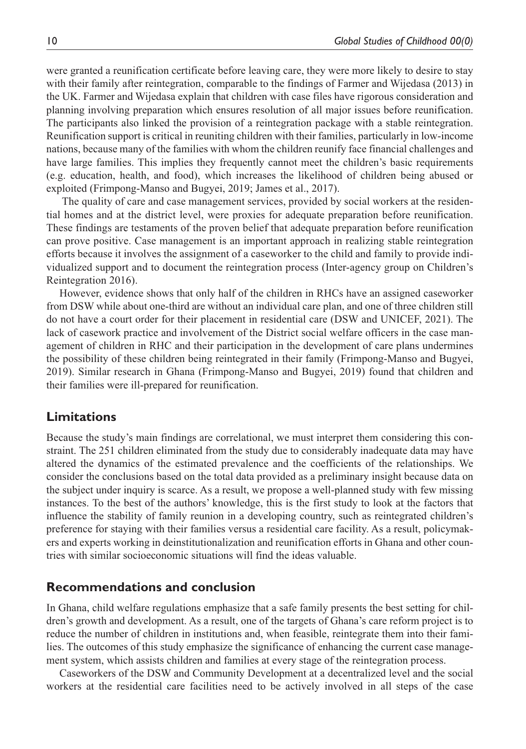were granted a reunification certificate before leaving care, they were more likely to desire to stay with their family after reintegration, comparable to the findings of Farmer and Wijedasa (2013) in the UK. Farmer and Wijedasa explain that children with case files have rigorous consideration and planning involving preparation which ensures resolution of all major issues before reunification. The participants also linked the provision of a reintegration package with a stable reintegration. Reunification support is critical in reuniting children with their families, particularly in low-income nations, because many of the families with whom the children reunify face financial challenges and have large families. This implies they frequently cannot meet the children's basic requirements (e.g. education, health, and food), which increases the likelihood of children being abused or exploited (Frimpong-Manso and Bugyei, 2019; James et al., 2017).

 The quality of care and case management services, provided by social workers at the residential homes and at the district level, were proxies for adequate preparation before reunification. These findings are testaments of the proven belief that adequate preparation before reunification can prove positive. Case management is an important approach in realizing stable reintegration efforts because it involves the assignment of a caseworker to the child and family to provide individualized support and to document the reintegration process (Inter-agency group on Children's Reintegration 2016).

However, evidence shows that only half of the children in RHCs have an assigned caseworker from DSW while about one-third are without an individual care plan, and one of three children still do not have a court order for their placement in residential care (DSW and UNICEF, 2021). The lack of casework practice and involvement of the District social welfare officers in the case management of children in RHC and their participation in the development of care plans undermines the possibility of these children being reintegrated in their family (Frimpong-Manso and Bugyei, 2019). Similar research in Ghana (Frimpong-Manso and Bugyei, 2019) found that children and their families were ill-prepared for reunification.

## **Limitations**

Because the study's main findings are correlational, we must interpret them considering this constraint. The 251 children eliminated from the study due to considerably inadequate data may have altered the dynamics of the estimated prevalence and the coefficients of the relationships. We consider the conclusions based on the total data provided as a preliminary insight because data on the subject under inquiry is scarce. As a result, we propose a well-planned study with few missing instances. To the best of the authors' knowledge, this is the first study to look at the factors that influence the stability of family reunion in a developing country, such as reintegrated children's preference for staying with their families versus a residential care facility. As a result, policymakers and experts working in deinstitutionalization and reunification efforts in Ghana and other countries with similar socioeconomic situations will find the ideas valuable.

### **Recommendations and conclusion**

In Ghana, child welfare regulations emphasize that a safe family presents the best setting for children's growth and development. As a result, one of the targets of Ghana's care reform project is to reduce the number of children in institutions and, when feasible, reintegrate them into their families. The outcomes of this study emphasize the significance of enhancing the current case management system, which assists children and families at every stage of the reintegration process.

Caseworkers of the DSW and Community Development at a decentralized level and the social workers at the residential care facilities need to be actively involved in all steps of the case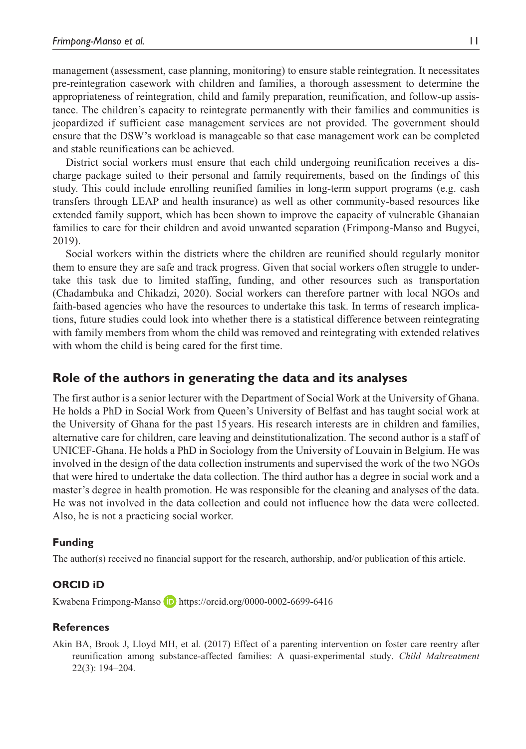management (assessment, case planning, monitoring) to ensure stable reintegration. It necessitates pre-reintegration casework with children and families, a thorough assessment to determine the appropriateness of reintegration, child and family preparation, reunification, and follow-up assistance. The children's capacity to reintegrate permanently with their families and communities is jeopardized if sufficient case management services are not provided. The government should ensure that the DSW's workload is manageable so that case management work can be completed and stable reunifications can be achieved.

District social workers must ensure that each child undergoing reunification receives a discharge package suited to their personal and family requirements, based on the findings of this study. This could include enrolling reunified families in long-term support programs (e.g. cash transfers through LEAP and health insurance) as well as other community-based resources like extended family support, which has been shown to improve the capacity of vulnerable Ghanaian families to care for their children and avoid unwanted separation (Frimpong-Manso and Bugyei, 2019).

Social workers within the districts where the children are reunified should regularly monitor them to ensure they are safe and track progress. Given that social workers often struggle to undertake this task due to limited staffing, funding, and other resources such as transportation (Chadambuka and Chikadzi, 2020). Social workers can therefore partner with local NGOs and faith-based agencies who have the resources to undertake this task. In terms of research implications, future studies could look into whether there is a statistical difference between reintegrating with family members from whom the child was removed and reintegrating with extended relatives with whom the child is being cared for the first time.

## **Role of the authors in generating the data and its analyses**

The first author is a senior lecturer with the Department of Social Work at the University of Ghana. He holds a PhD in Social Work from Queen's University of Belfast and has taught social work at the University of Ghana for the past 15 years. His research interests are in children and families, alternative care for children, care leaving and deinstitutionalization. The second author is a staff of UNICEF-Ghana. He holds a PhD in Sociology from the University of Louvain in Belgium. He was involved in the design of the data collection instruments and supervised the work of the two NGOs that were hired to undertake the data collection. The third author has a degree in social work and a master's degree in health promotion. He was responsible for the cleaning and analyses of the data. He was not involved in the data collection and could not influence how the data were collected. Also, he is not a practicing social worker.

#### **Funding**

The author(s) received no financial support for the research, authorship, and/or publication of this article.

### **ORCID iD**

Kwabena Frimpong-Manso D <https://orcid.org/0000-0002-6699-6416>

#### **References**

Akin BA, Brook J, Lloyd MH, et al. (2017) Effect of a parenting intervention on foster care reentry after reunification among substance-affected families: A quasi-experimental study. *Child Maltreatment* 22(3): 194–204.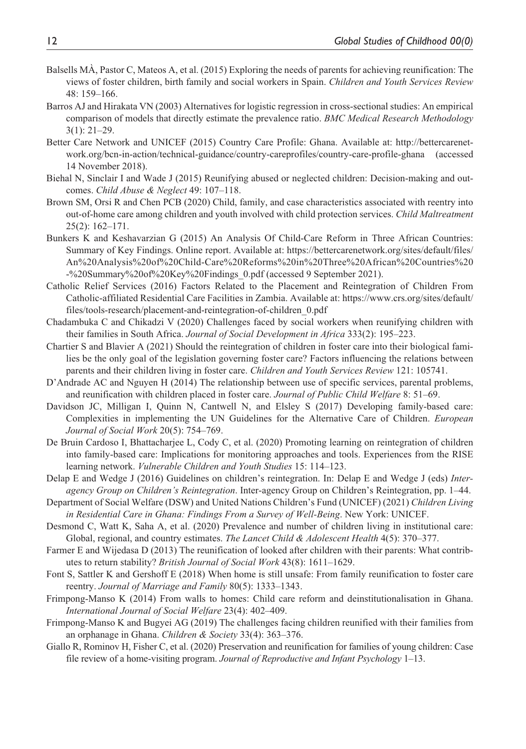- Balsells MÀ, Pastor C, Mateos A, et al. (2015) Exploring the needs of parents for achieving reunification: The views of foster children, birth family and social workers in Spain. *Children and Youth Services Review* 48: 159–166.
- Barros AJ and Hirakata VN (2003) Alternatives for logistic regression in cross-sectional studies: An empirical comparison of models that directly estimate the prevalence ratio. *BMC Medical Research Methodology* 3(1): 21–29.
- Better Care Network and UNICEF (2015) Country Care Profile: Ghana. Available at: [http://bettercarenet](http://bettercarenetwork.org/bcn-in-action/technical-guidance/country-careprofiles/country-care-profile-ghana)[work.org/bcn-in-action/technical-guidance/country-careprofiles/country-care-profile-ghana](http://bettercarenetwork.org/bcn-in-action/technical-guidance/country-careprofiles/country-care-profile-ghana) (accessed 14 November 2018).
- Biehal N, Sinclair I and Wade J (2015) Reunifying abused or neglected children: Decision-making and outcomes. *Child Abuse & Neglect* 49: 107–118.
- Brown SM, Orsi R and Chen PCB (2020) Child, family, and case characteristics associated with reentry into out-of-home care among children and youth involved with child protection services. *Child Maltreatment* 25(2): 162–171.
- Bunkers K and Keshavarzian G (2015) An Analysis Of Child-Care Reform in Three African Countries: Summary of Key Findings. Online report. Available at: [https://bettercarenetwork.org/sites/default/files/](https://bettercarenetwork.org/sites/default/files/An%20Analysis%20of%20Child-Care%20Reforms%20in%20Three%20African%20Countries%20-%20Summary%20of%20Key%20Findings_0.pdf) [An%20Analysis%20of%20Child-Care%20Reforms%20in%20Three%20African%20Countries%20](https://bettercarenetwork.org/sites/default/files/An%20Analysis%20of%20Child-Care%20Reforms%20in%20Three%20African%20Countries%20-%20Summary%20of%20Key%20Findings_0.pdf) [-%20Summary%20of%20Key%20Findings\\_0.pdf](https://bettercarenetwork.org/sites/default/files/An%20Analysis%20of%20Child-Care%20Reforms%20in%20Three%20African%20Countries%20-%20Summary%20of%20Key%20Findings_0.pdf) (accessed 9 September 2021).
- Catholic Relief Services (2016) Factors Related to the Placement and Reintegration of Children From Catholic-affiliated Residential Care Facilities in Zambia. Available at: [https://www.crs.org/sites/default/](https://www.crs.org/sites/default/files/tools-research/placement-and-reintegration-of-children_0.pdf) [files/tools-research/placement-and-reintegration-of-children\\_0.pdf](https://www.crs.org/sites/default/files/tools-research/placement-and-reintegration-of-children_0.pdf)
- Chadambuka C and Chikadzi V (2020) Challenges faced by social workers when reunifying children with their families in South Africa. *Journal of Social Development in Africa* 333(2): 195–223.
- Chartier S and Blavier A (2021) Should the reintegration of children in foster care into their biological families be the only goal of the legislation governing foster care? Factors influencing the relations between parents and their children living in foster care. *Children and Youth Services Review* 121: 105741.
- D'Andrade AC and Nguyen H (2014) The relationship between use of specific services, parental problems, and reunification with children placed in foster care. *Journal of Public Child Welfare* 8: 51–69.
- Davidson JC, Milligan I, Quinn N, Cantwell N, and Elsley S (2017) Developing family-based care: Complexities in implementing the UN Guidelines for the Alternative Care of Children. *European Journal of Social Work* 20(5): 754–769.
- De Bruin Cardoso I, Bhattacharjee L, Cody C, et al. (2020) Promoting learning on reintegration of children into family-based care: Implications for monitoring approaches and tools. Experiences from the RISE learning network. *Vulnerable Children and Youth Studies* 15: 114–123.
- Delap E and Wedge J (2016) Guidelines on children's reintegration. In: Delap E and Wedge J (eds) *Interagency Group on Children's Reintegration*. Inter-agency Group on Children's Reintegration, pp. 1–44.
- Department of Social Welfare (DSW) and United Nations Children's Fund (UNICEF) (2021) *Children Living in Residential Care in Ghana: Findings From a Survey of Well-Being*. New York: UNICEF.
- Desmond C, Watt K, Saha A, et al. (2020) Prevalence and number of children living in institutional care: Global, regional, and country estimates. *The Lancet Child & Adolescent Health* 4(5): 370–377.
- Farmer E and Wijedasa D (2013) The reunification of looked after children with their parents: What contributes to return stability? *British Journal of Social Work* 43(8): 1611–1629.
- Font S, Sattler K and Gershoff E (2018) When home is still unsafe: From family reunification to foster care reentry. *Journal of Marriage and Family* 80(5): 1333–1343.
- Frimpong-Manso K (2014) From walls to homes: Child care reform and deinstitutionalisation in Ghana. *International Journal of Social Welfare* 23(4): 402–409.
- Frimpong-Manso K and Bugyei AG (2019) The challenges facing children reunified with their families from an orphanage in Ghana. *Children & Society* 33(4): 363–376.
- Giallo R, Rominov H, Fisher C, et al. (2020) Preservation and reunification for families of young children: Case file review of a home-visiting program. *Journal of Reproductive and Infant Psychology* 1–13.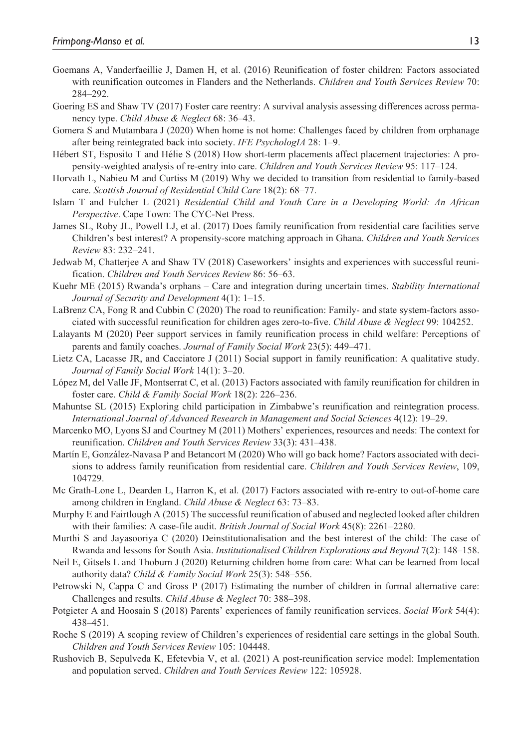- Goemans A, Vanderfaeillie J, Damen H, et al. (2016) Reunification of foster children: Factors associated with reunification outcomes in Flanders and the Netherlands. *Children and Youth Services Review* 70: 284–292.
- Goering ES and Shaw TV (2017) Foster care reentry: A survival analysis assessing differences across permanency type. *Child Abuse & Neglect* 68: 36–43.
- Gomera S and Mutambara J (2020) When home is not home: Challenges faced by children from orphanage after being reintegrated back into society. *IFE PsychologIA* 28: 1–9.
- Hébert ST, Esposito T and Hélie S (2018) How short-term placements affect placement trajectories: A propensity-weighted analysis of re-entry into care. *Children and Youth Services Review* 95: 117–124.
- Horvath L, Nabieu M and Curtiss M (2019) Why we decided to transition from residential to family-based care. *Scottish Journal of Residential Child Care* 18(2): 68–77.
- Islam T and Fulcher L (2021) *Residential Child and Youth Care in a Developing World: An African Perspective*. Cape Town: The CYC-Net Press.
- James SL, Roby JL, Powell LJ, et al. (2017) Does family reunification from residential care facilities serve Children's best interest? A propensity-score matching approach in Ghana. *Children and Youth Services Review* 83: 232–241.
- Jedwab M, Chatterjee A and Shaw TV (2018) Caseworkers' insights and experiences with successful reunification. *Children and Youth Services Review* 86: 56–63.
- Kuehr ME (2015) Rwanda's orphans Care and integration during uncertain times. *Stability International Journal of Security and Development* 4(1): 1–15.
- LaBrenz CA, Fong R and Cubbin C (2020) The road to reunification: Family- and state system-factors associated with successful reunification for children ages zero-to-five. *Child Abuse & Neglect* 99: 104252.
- Lalayants M (2020) Peer support services in family reunification process in child welfare: Perceptions of parents and family coaches. *Journal of Family Social Work* 23(5): 449–471.
- Lietz CA, Lacasse JR, and Cacciatore J (2011) Social support in family reunification: A qualitative study. *Journal of Family Social Work* 14(1): 3–20.
- López M, del Valle JF, Montserrat C, et al. (2013) Factors associated with family reunification for children in foster care. *Child & Family Social Work* 18(2): 226–236.
- Mahuntse SL (2015) Exploring child participation in Zimbabwe's reunification and reintegration process. *International Journal of Advanced Research in Management and Social Sciences* 4(12): 19–29.
- Marcenko MO, Lyons SJ and Courtney M (2011) Mothers' experiences, resources and needs: The context for reunification. *Children and Youth Services Review* 33(3): 431–438.
- Martín E, González-Navasa P and Betancort M (2020) Who will go back home? Factors associated with decisions to address family reunification from residential care. *Children and Youth Services Review*, 109, 104729.
- Mc Grath-Lone L, Dearden L, Harron K, et al. (2017) Factors associated with re-entry to out-of-home care among children in England. *Child Abuse & Neglect* 63: 73–83.
- Murphy E and Fairtlough A (2015) The successful reunification of abused and neglected looked after children with their families: A case-file audit. *British Journal of Social Work* 45(8): 2261–2280.
- Murthi S and Jayasooriya C (2020) Deinstitutionalisation and the best interest of the child: The case of Rwanda and lessons for South Asia. *Institutionalised Children Explorations and Beyond* 7(2): 148–158.
- Neil E, Gitsels L and Thoburn J (2020) Returning children home from care: What can be learned from local authority data? *Child & Family Social Work* 25(3): 548–556.
- Petrowski N, Cappa C and Gross P (2017) Estimating the number of children in formal alternative care: Challenges and results. *Child Abuse & Neglect* 70: 388–398.
- Potgieter A and Hoosain S (2018) Parents' experiences of family reunification services. *Social Work* 54(4): 438–451.
- Roche S (2019) A scoping review of Children's experiences of residential care settings in the global South. *Children and Youth Services Review* 105: 104448.
- Rushovich B, Sepulveda K, Efetevbia V, et al. (2021) A post-reunification service model: Implementation and population served. *Children and Youth Services Review* 122: 105928.